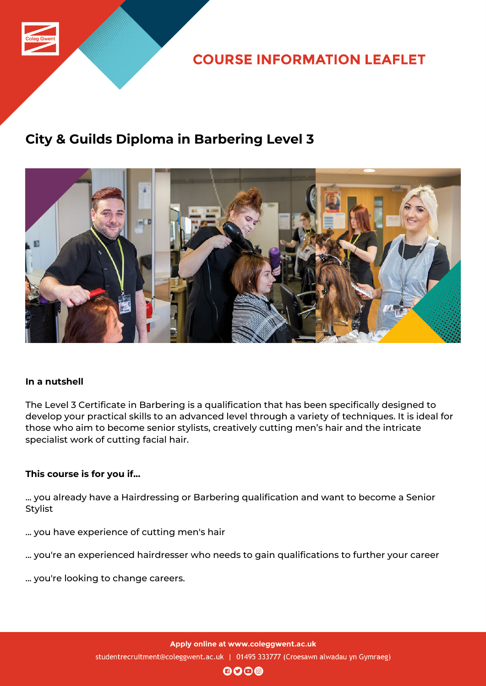

# **City & Guilds Diploma in Barbering Level 3**



## **In a nutshell**

The Level 3 Certificate in Barbering is a qualification that has been specifically designed to develop your practical skills to an advanced level through a variety of techniques. It is ideal for those who aim to become senior stylists, creatively cutting men's hair and the intricate specialist work of cutting facial hair.

## **This course is for you if...**

... you already have a Hairdressing or Barbering qualification and want to become a Senior Stylist

- ... you have experience of cutting men's hair
- ... you're an experienced hairdresser who needs to gain qualifications to further your career
- ... you're looking to change careers.

Apply online at www.coleggwent.ac.uk studentrecruitment@coleggwent.ac.uk | 01495 333777 (Croesawn alwadau yn Gymraeg)

 $\mathbf{0}$  $\mathbf{0}$  $\mathbf{0}$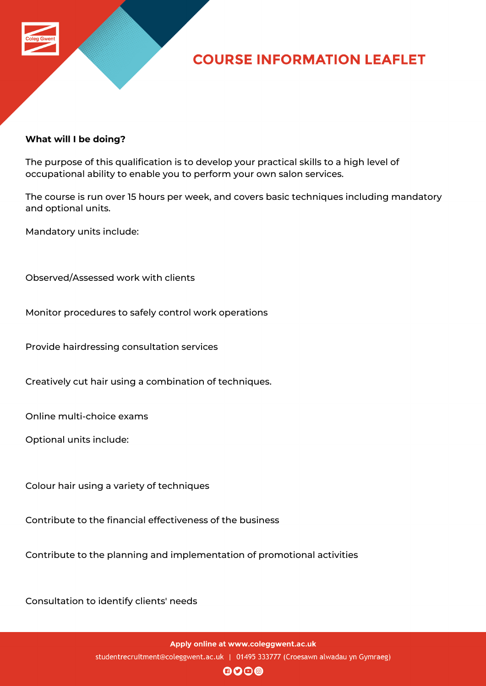

### **What will I be doing?**

The purpose of this qualification is to develop your practical skills to a high level of occupational ability to enable you to perform your own salon services.

The course is run over 15 hours per week, and covers basic techniques including mandatory and optional units.

Mandatory units include:

Observed/Assessed work with clients

Monitor procedures to safely control work operations

Provide hairdressing consultation services

Creatively cut hair using a combination of techniques.

Online multi-choice exams

Optional units include:

Colour hair using a variety of techniques

Contribute to the financial effectiveness of the business

Contribute to the planning and implementation of promotional activities

Consultation to identify clients' needs

 $\mathbf{0}$  $\mathbf{0}$  $\mathbf{0}$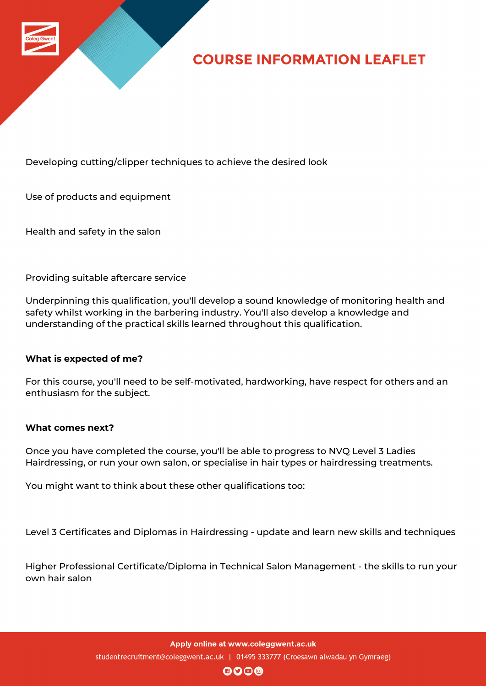

Developing cutting/clipper techniques to achieve the desired look

Use of products and equipment

Health and safety in the salon

Providing suitable aftercare service

Underpinning this qualification, you'll develop a sound knowledge of monitoring health and safety whilst working in the barbering industry. You'll also develop a knowledge and understanding of the practical skills learned throughout this qualification.

### **What is expected of me?**

For this course, you'll need to be self-motivated, hardworking, have respect for others and an enthusiasm for the subject.

### **What comes next?**

Once you have completed the course, you'll be able to progress to NVQ Level 3 Ladies Hairdressing, or run your own salon, or specialise in hair types or hairdressing treatments.

You might want to think about these other qualifications too:

Level 3 Certificates and Diplomas in Hairdressing - update and learn new skills and techniques

Higher Professional Certificate/Diploma in Technical Salon Management - the skills to run your own hair salon

> Apply online at www.coleggwent.ac.uk studentrecruitment@coleggwent.ac.uk | 01495 333777 (Croesawn alwadau yn Gymraeg)